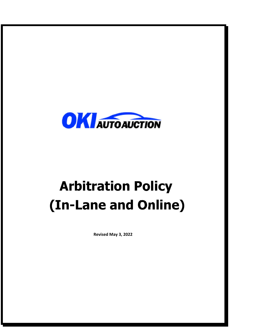

# **Arbitration Policy (In-Lane and Online)**

**Revised May 3, 2022**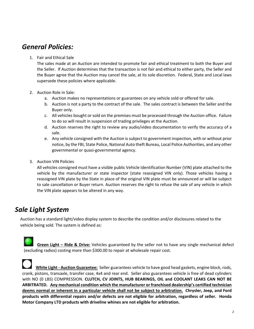## *General Policies:*

#### 1. Fair and Ethical Sale

The sales made at an Auction are intended to promote fair and ethical treatment to both the Buyer and the Seller. If Auction determines that the transaction is not fair and ethical to either party, the Seller and the Buyer agree that the Auction may cancel the sale, at its sole discretion. Federal, State and Local laws supersede these policies where applicable.

#### 2. Auction Role in Sale:

- a. Auction makes no representations or guarantees on any vehicle sold or offered for sale.
- b. Auction is not a party to the contract of the sale. The sales contract is between the Seller and the Buyer only.
- c. All vehicles bought or sold on the premises must be processed through the Auction office. Failure to do so will result in suspension of trading privileges at the Auction.
- d. Auction reserves the right to review any audio/video documentation to verify the accuracy of a sale.
- e. Any vehicle consigned with the Auction is subject to government inspection, with or without prior notice, by the FBI, State Police, National Auto theft Bureau, Local Police Authorities, and any other governmental or quasi‐governmental agency.
- 3. Auction VIN Policies

All vehicles consigned must have a visible public Vehicle Identification Number (VIN) plate attached to the vehicle by the manufacturer or state inspector (state reassigned VIN only). Those vehicles having a reassigned VIN plate by the State in place of the original VIN plate must be announced or will be subject to sale cancellation or Buyer return. Auction reserves the right to refuse the sale of any vehicle in which the VIN plate appears to be altered in any way.

## *Sale Light System*

Auction has a standard light/video display system to describe the condition and/or disclosures related to the vehicle being sold. The system is defined as:

  **Green Light – Ride & Drive:** Vehicles guaranteed by the seller not to have any single mechanical defect (excluding radios) costing more than \$300.00 to repair at wholesale repair cost.

 **White Light ‐ Auction Guarantee:** Seller guarantees vehicle to have good head gaskets, engine block, rods, crank, pistons, transaxle, transfer case, 4x4 and rear end. Seller also guarantees vehicle is free of dead cylinders with NO (0 LBS) COMPRESSION. **CLUTCH, CV JOINTS, HUB BEARINGS, OIL and COOLANT LEAKS CAN NOT BE ARBITRATED. Any mechanical condition which the manufacturer or franchised dealership's certified technician deems normal or inherent in a particular vehicle shall not be subject to arbitration. Chrysler, Jeep, and Ford products with differential repairs and/or defects are not eligible for arbitration, regardless of seller. Honda Motor Company LTD products with driveline whines are not eligible for arbitration.**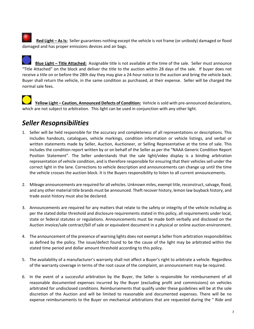Red Light - As Is: Seller guarantees nothing except the vehicle is not frame (or unibody) damaged or flood damaged and has proper emissions devices and air bags.

 **Blue Light – Title Attached:** Assignable title is not available at the time of the sale. Seller must announce "Title Attached" on the block and deliver the title to the auction within 28 days of the sale. If buyer does not receive a title on or before the 28th day they may give a 24‐hour notice to the auction and bring the vehicle back. Buyer shall return the vehicle, in the same condition as purchased, at their expense. Seller will be charged the normal sale fees.

 **Yellow Light – Caution, Announced Defects of Condition:** Vehicle is sold with pre-announced declarations, which are not subject to arbitration. This light can be used in conjunction with any other light.

# *Seller Resopnsibilities*

- 1. Seller will be held responsible for the accuracy and completeness of all representations or descriptions. This includes handouts, catalogues, vehicle markings, condition information or vehicle listings, and verbal or written statements made by Seller, Auction, Auctioneer, or Selling Representative at the time of sale. This includes the condition report written by or on behalf of the Seller as per the "NAAA Generic Condition Report Position Statement". The Seller understands that the sale light/video display is a binding arbitration representation of vehicle condition, and is therefore responsible for ensuring that their vehicles sell under the correct light in the lane. Corrections to vehicle description and announcements can change up until the time the vehicle crosses the auction block. It is the Buyers responsibility to listen to all current announcements.
- 2. Mileage announcements are required for all vehicles. Unknown miles, exempt title, reconstruct, salvage, flood, and any other material title brands must be announced. Theft recover history, lemon law buyback history, and trade assist history must also be declared.
- 3. Announcements are required for any matters that relate to the safety or integrity of the vehicle including as per the stated dollar threshold and disclosure requirements stated in this policy, all requirements under local, state or federal statutes or regulations. Announcements must be made both verbally and disclosed on the Auction invoice/sale contract/bill of sale or equivalent document in a physical or online auction environment.
- 4. The announcement of the presence of warning lights does not exempt a Seller from arbitration responsibilities as defined by the policy. The issue/defect found to be the cause of the light may be arbitrated within the stated time period and dollar amount threshold according to this policy.
- 5. The availability of a manufacturer's warranty shall not affect a Buyer's right to arbitrate a vehicle. Regardless of the warranty coverage in terms of the root cause of the complaint, an announcement may be required.
- 6. In the event of a successful arbitration by the Buyer, the Seller is responsible for reimbursement of all reasonable documented expenses incurred by the Buyer (excluding profit and commissions) on vehicles arbitrated for undisclosed conditions. Reimbursements that qualify under these guidelines will be at the sole discretion of the Auction and will be limited to reasonable and documented expenses. There will be no expense reimbursements to the Buyer on mechanical arbitrations that are requested during the " Ride and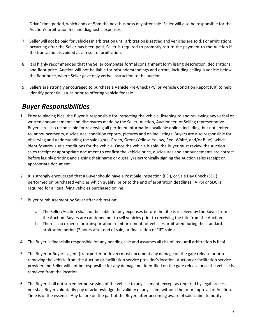Drive" time period, which ends at 5pm the next business day after sale. Seller will also be responsible for the Auction's arbitration fee and diagnostic expenses.

- 7. Seller will not be paid for vehicles in arbitration until arbitration is settled and vehicles are sold. For arbitrations occurring after the Seller has been paid, Seller is required to promptly return the payment to the Auction if the transaction is voided as a result of arbitration.
- 8. It is highly recommended that the Seller completes formal consignment form listing description, declarations, and floor price. Auction will not be liable for misunderstandings and errors, including selling a vehicle below the floor price, where Seller gave only verbal instruction to the auction.
- 9. Sellers are strongly encouraged to purchase a Vehicle Pre‐Check (PC) or Vehicle Condition Report (CR) to help identify potential issues prior to offering vehicle for sale.

## *Buyer Responsibilities*

- 1. Prior to placing bids, the Buyer is responsible for inspecting the vehicle, listening to and reviewing any verbal or written announcements and disclosures made by the Seller, Auction, Auctioneer, or Selling representative. Buyers are also responsible for reviewing all pertinent information available online, including, but not limited to, announcements, disclosures, condition reports, pictures and online listings. Buyers are also responsible for observing and understanding the sale lights (Green, Green/Yellow, Yellow, Red, White, and/or Blue), which identify various sale conditions for the vehicle. Once the vehicle is sold, the Buyer must review the Auction sales receipt or appropriate document to confirm the vehicle price, disclosures and announcements are correct before legibly printing and signing their name or digitally/electronically signing the Auction sales receipt or appropriate document.
- 2. It is strongly encouraged that a Buyer should have a Post Sale Inspection (PSI), or Sale Day Check (SDC) performed on purchased vehicles which qualify, prior to the end of arbitration deadlines. A PSI or SDC is required for all qualifying vehicles purchased online.
- 3. Buyer reimbursement by Seller after arbitration:
	- a. The Seller/Auction shall not be liable for any expenses before the title is received by the Buyer from the Auction. Buyers are cautioned not to sell vehicles prior to receiving the title from the Auction
	- b. There is no expense or transportation reimbursement for vehicles arbitrated during the standard arbitration period (2 hours after end of sale, or finalization of "IF" sale.)
- 4. The Buyer is financially responsible for any pending sale and assumes all risk of loss until arbitration is final.
- 5. The Buyer or Buyer's agent (transporter or driver) must document any damage on the gate release prior to removing the vehicle from the Auction or facilitation service provider's location. Auction or facilitation service provider and Seller will not be responsible for any damage not identified on the gate release once the vehicle is removed from the location.
- 6. The Buyer shall not surrender possession of the vehicle to any claimant, except as required by legal process, nor shall Buyer voluntarily pay or acknowledge the validity of any claim, without the prior approval of Auction. Time is of the essence. Any failure on the part of the Buyer, after becoming aware of said claim, to notify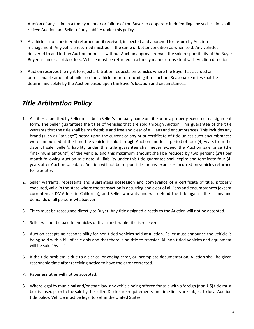Auction of any claim in a timely manner or failure of the Buyer to cooperate in defending any such claim shall relieve Auction and Seller of any liability under this policy.

- 7. A vehicle is not considered returned until received, inspected and approved for return by Auction management. Any vehicle returned must be in the same or better condition as when sold. Any vehicles delivered to and left on Auction premises without Auction approval remain the sole responsibility of the Buyer. Buyer assumes all risk of loss. Vehicle must be returned in a timely manner consistent with Auction direction.
- 8. Auction reserves the right to reject arbitration requests on vehicles where the Buyer has accrued an unreasonable amount of miles on the vehicle prior to returning it to auction. Reasonable miles shall be determined solely by the Auction based upon the Buyer's location and circumstances.

## *Title Arbitration Policy*

- 1. All titles submitted by Seller must be in Seller's company name on title or on a properly executed reassignment form. The Seller guarantees the titles of vehicles that are sold through Auction. This guarantee of the title warrants that the title shall be marketable and free and clear of all liens and encumbrances. This includes any brand (such as "salvage") noted upon the current or any prior certificate of title unless such encumbrances were announced at the time the vehicle is sold through Auction and for a period of four (4) years from the date of sale. Seller's liability under this title guarantee shall never exceed the Auction sale price (the "maximum amount") of the vehicle, and this maximum amount shall be reduced by two percent (2%) per month following Auction sale date. All liability under this title guarantee shall expire and terminate four (4) years after Auction sale date. Auction will not be responsible for any expenses incurred on vehicles returned for late title.
- 2. Seller warrants, represents and guarantees possession and conveyance of a certificate of title, properly executed, valid in the state where the transaction is occurring and clear of all liens and encumbrances (except current year DMV fees in California), and Seller warrants and will defend the title against the claims and demands of all persons whatsoever.
- 3. Titles must be reassigned directly to Buyer. Any title assigned directly to the Auction will not be accepted.
- 4. Seller will not be paid for vehicles until a transferable title is received.
- 5. Auction accepts no responsibility for non-titled vehicles sold at auction. Seller must announce the vehicle is being sold with a bill of sale only and that there is no title to transfer. All non-titled vehicles and equipment will be sold "As‐Is."
- 6. If the title problem is due to a clerical or coding error, or incomplete documentation, Auction shall be given reasonable time after receiving notice to have the error corrected.
- 7. Paperless titles will not be accepted.
- 8. Where legal by municipal and/or state law, any vehicle being offered for sale with a foreign (non‐US) title must be disclosed prior to the sale by the seller. Disclosure requirements and time limits are subject to local Auction title policy. Vehicle must be legal to sell in the United States.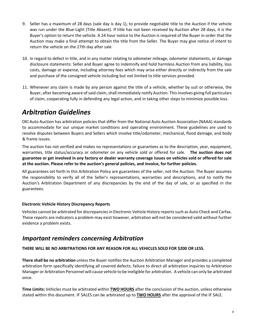- 9. Seller has a maximum of 28 days (sale day is day 1), to provide negotiable title to the Auction if the vehicle was run under the Blue‐Light (Title Absent). If title has not been received by Auction after 28 days, it is the Buyer's option to return the vehicle. A 24 hour notice to the Auction is required of the Buyer in order that the Auction may make a final attempt to obtain the title from the Seller. The Buyer may give notice of intent to return the vehicle on the 27th day after sale
- 10. In regard to defect in title, and in any matter relating to odometer mileage, odometer statements, or damage disclosure statements: Seller and Buyer agree to indemnify and hold harmless Auction from any liability, loss costs, damage or expense, including attorney fees which may arise either directly or indirectly from the sale and purchase of the consigned vehicle including but not limited to title services provided.
- 11. Whenever any claim is made by any person against the title of a vehicle, whether by suit or otherwise, the Buyer, after becoming aware of said claim, shall immediately notify Auction. This involves giving full particulars of claim, cooperating fully in defending any legal action, and in taking other steps to minimize possible loss.

# *Arbitration Guidelines*

OKI Auto Auction has arbitration policies that differ from the National Auto Auction Association (NAAA) standards to accommodate for our unique market conditions and operating environment. These guidelines are used to resolve disputes between Buyers and Sellers which involve title/odometer, mechanical, flood damage, and body & frame issues.

The auction has not verified and makes no representations or guarantees as to the description, year, equipment, warranties, title status/accuracy or odometer on any vehicle sold or offered for sale. **The auction does not guarantee or get involved in any factory or dealer warranty coverage issues on vehicles sold or offered for sale at the auction. Please refer to the auction's general policies, and invoice, for further policies.** 

All guarantees set forth in this Arbitration Policy are guarantees of the seller, not the Auction. The Buyer assumes the responsibility to verify all of the Seller's representations, warranties and descriptions, and to notify the Auction's Arbitration Department of any discrepancies by the end of the day of sale, or as specified in the guarantees.

#### **Electronic Vehicle History Discrepancy Reports**

Vehicles cannot be arbitrated for discrepancies in Electronic Vehicle History reports such as Auto Check and Carfax. These reports are indicators a problem may exist however, arbitration will not be considered valid without further evidence a problem exists.

### *Important reminders concerning Arbitration*

**THERE WILL BE NO ARBITRATIONS FOR ANY REASON FOR ALL VEHICLES SOLD FOR \$200 OR LESS.** 

**There shall be no arbitration** unless the Buyer notifies the Auction Arbitration Manager and provides a completed arbitration form specifically identifying all covered defects; failure to direct all arbitration inquiries to Arbitration Manager or Arbitration Personnel will cause vehicle to be ineligible for arbitration. A vehicle can only be arbitrated once.

**Time Limits:** Vehicles must be arbitrated within **TWO HOURS** after the conclusion of the auction, unless otherwise stated within this document. IF SALES can be arbitrated up to **TWO HOURS** after the approval of the IF SALE.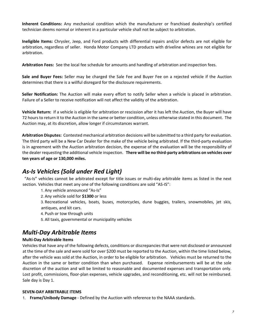**Inherent Conditions:**  Any mechanical condition which the manufacturer or franchised dealership's certified technician deems normal or inherent in a particular vehicle shall not be subject to arbitration.

**Ineligible Items:** Chrysler, Jeep, and Ford products with differential repairs and/or defects are not eligible for arbitration, regardless of seller. Honda Motor Company LTD products with driveline whines are not eligible for arbitration.

**Arbitration Fees:** See the local fee schedule for amounts and handling of arbitration and inspection fees.

**Sale and Buyer Fees:**  Seller may be charged the Sale Fee and Buyer Fee on a rejected vehicle if the Auction determines that there is a willful disregard for the disclosure requirements.

**Seller Notification:** The Auction will make every effort to notify Seller when a vehicle is placed in arbitration. Failure of a Seller to receive notification will not affect the validity of the arbitration.

Vehicle Return: If a vehicle is eligible for arbitration or rescission after it has left the Auction, the Buyer will have 72 hours to return it to the Auction in the same or better condition, unless otherwise stated in this document. The Auction may, at its discretion, allow longer if circumstances warrant.

**Arbitration Disputes:** Contested mechanical arbitration decisions will be submitted to a third party for evaluation. The third party will be a New Car Dealer for the make of the vehicle being arbitrated. If the third‐party evaluation is in agreement with the Auction arbitration decision, the expense of the evaluation will be the responsibility of the dealer requesting the additional vehicle inspection.  **There will be no third‐party arbitrations on vehicles over ten years of age or 130,000 miles.** 

## *As‐Is Vehicles (Sold under Red Light)*

 "As‐Is" vehicles cannot be arbitrated except for title issues or multi‐day arbitrable items as listed in the next section. Vehicles that meet any one of the following conditions are sold "AS-IS":

1. Any vehicle announced "As‐Is"

2. Any vehicle sold for **\$1300** or less

3. Recreational vehicles, boats, buses, motorcycles, dune buggies, trailers, snowmobiles, jet skis, antiques, and kit cars.

4. Push or tow through units

5. All taxis, governmental or municipality vehicles

## *Multi‐Day Arbitrable Items*

#### **Multi‐Day Arbitrable Items**

Vehicles that have any of the following defects, conditions or discrepancies that were not disclosed or announced at the time of the sale and were sold for over \$200 must be reported to the Auction, within the time listed below, after the vehicle was sold at the Auction, in order to be eligible for arbitration. Vehicles must be returned to the Auction in the same or better condition than when purchased. Expense reimbursements will be at the sole discretion of the auction and will be limited to reasonable and documented expenses and transportation only. Lost profit, commissions, floor‐plan expenses, vehicle upgrades, and reconditioning, etc. will not be reimbursed. Sale day is Day 1.

#### **SEVEN‐DAY ARBITRABLE ITEMS**

1. **Frame/Unibody Damage** ‐ Defined by the Auction with reference to the NAAA standards.